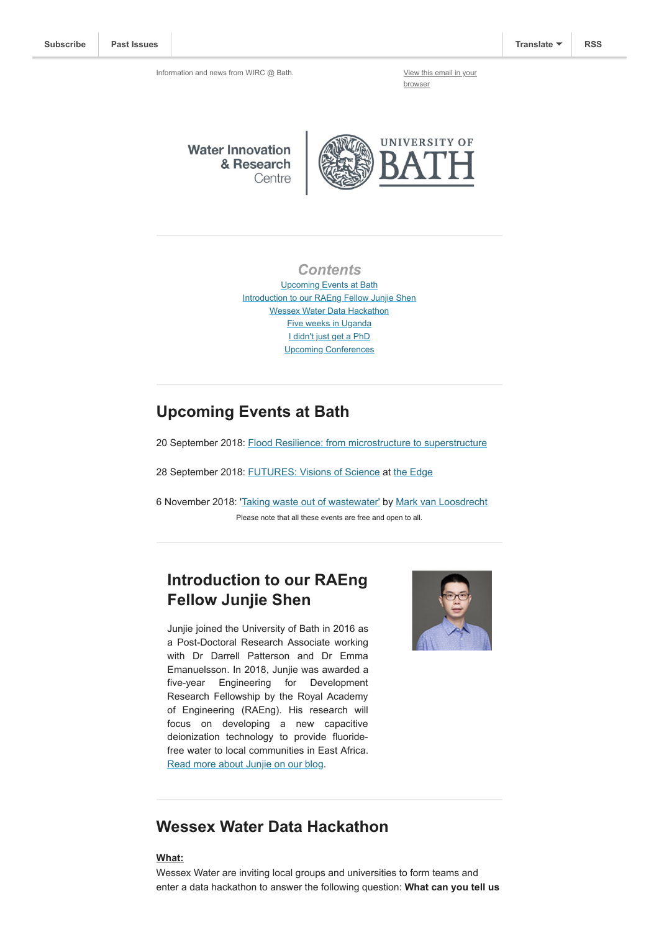Information and news from WIRC @ Bath. [View this email in your](https://mailchi.mp/3e7916a6a971/wircapr2018-1601025?e=[UNIQID])

browser

**Water Innovation** & Research Centre



### *Contents*

Upcoming Events at Bath [Introduction to our RAEng Fellow Junjie Shen](#page-0-0) [Wessex Water Data Hackathon](#page-0-1) [Five weeks in Uganda](#page-1-0) [I didn't just get a PhD](#page-2-0) [Upcoming Conferences](#page-2-1)

## **Upcoming Events at Bath**

20 September 2018: [Flood Resilience: from microstructure to superstructure](https://www.eventbrite.co.uk/e/istructe-flood-resilience-from-microstructure-to-superstructure-tickets-50067020807)

28 September 2018: [FUTURES: Visions of Science](https://www.eventbrite.co.uk/e/futures-visions-of-science-the-edge-tickets-48466667106) at [the Edge](https://www.edgearts.org/)

6 November 2018: '[Taking waste out of wastewater'](https://www.eventbrite.co.uk/e/taking-waste-out-of-wastewater-tickets-47668762552) by [Mark van Loosdrecht](https://www.tudelft.nl/en/faculty-of-applied-sciences/about-faculty/departments/biotechnology/research-groups/environmental-biotechnology/mark-van-loosdrecht-group/biography/) Please note that all these events are free and open to all.

# <span id="page-0-0"></span>**Introduction to our RAEng Fellow Junjie Shen**

Junjie joined the University of Bath in 2016 as a Post-Doctoral Research Associate working with Dr Darrell Patterson and Dr Emma Emanuelsson. In 2018, Junjie was awarded a five-year Engineering for Development Research Fellowship by the Royal Academy of Engineering (RAEng). His research will focus on developing a new capacitive deionization technology to provide fluoridefree water to local communities in East Africa. [Read more about Junjie on our blog.](http://blogs.bath.ac.uk/water/2018/08/31/introduction-to-our-raeng-fellow-junjie-shen/)



### <span id="page-0-1"></span>**Wessex Water Data Hackathon**

#### **What:**

Wessex Water are inviting local groups and universities to form teams and enter a data hackathon to answer the following question: **What can you tell us**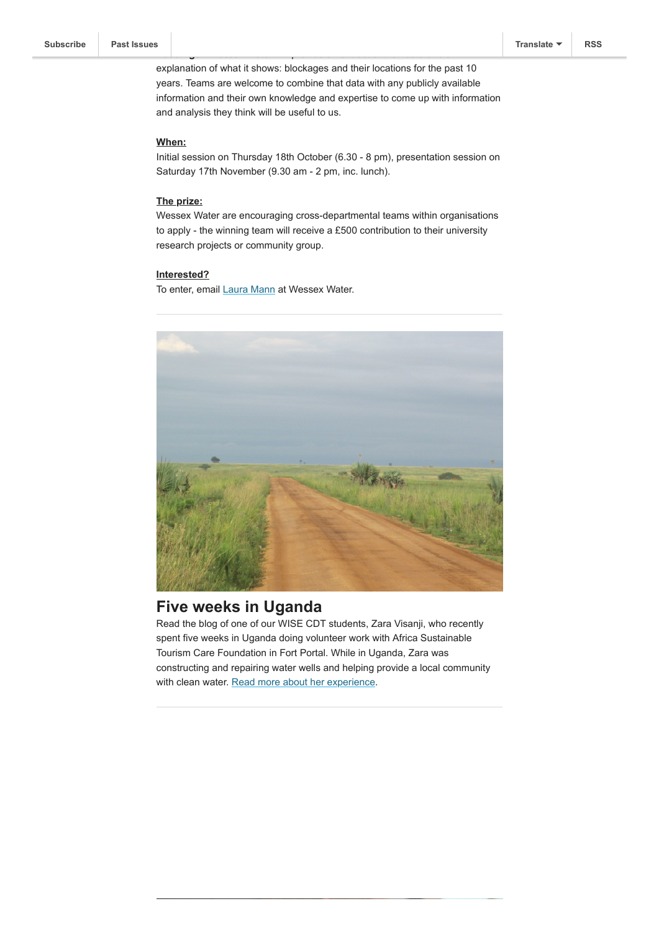explanation of what it shows: blockages and their locations for the past 10 years. Teams are welcome to combine that data with any publicly available information and their own knowledge and expertise to come up with information and analysis they think will be useful to us.

**floodings?** Wessex Water will provide an extract of their data and an

#### **When:**

Initial session on Thursday 18th October (6.30 - 8 pm), presentation session on Saturday 17th November (9.30 am - 2 pm, inc. lunch).

#### **The prize:**

Wessex Water are encouraging cross-departmental teams within organisations to apply - the winning team will receive a £500 contribution to their university research projects or community group.

#### **Interested?**

To enter, email [Laura Mann](mailto:laura.mann@wessexwater.co.uk) at Wessex Water.



### <span id="page-1-0"></span>**Five weeks in Uganda**

Read the blog of one of our WISE CDT students, Zara Visanji, who recently spent five weeks in Uganda doing volunteer work with Africa Sustainable Tourism Care Foundation in Fort Portal. While in Uganda, Zara was constructing and repairing water wells and helping provide a local community with clean water. [Read more about her experience](https://wisephd.wordpress.com/2018/09/04/5-weeks-in-uganda/).